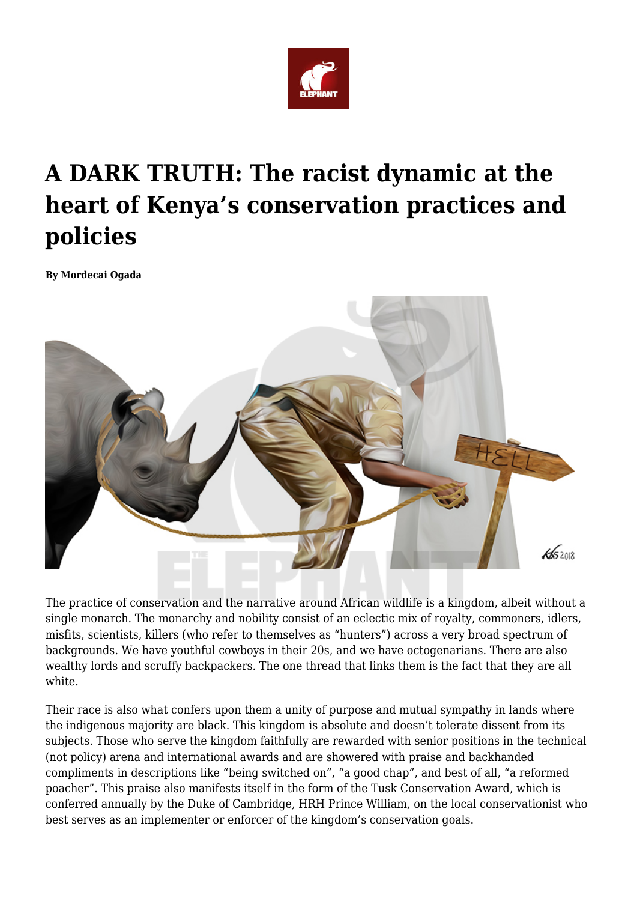

## **A DARK TRUTH: The racist dynamic at the heart of Kenya's conservation practices and policies**

**By Mordecai Ogada**



The practice of conservation and the narrative around African wildlife is a kingdom, albeit without a single monarch. The monarchy and nobility consist of an eclectic mix of royalty, commoners, idlers, misfits, scientists, killers (who refer to themselves as "hunters") across a very broad spectrum of backgrounds. We have youthful cowboys in their 20s, and we have octogenarians. There are also wealthy lords and scruffy backpackers. The one thread that links them is the fact that they are all white.

Their race is also what confers upon them a unity of purpose and mutual sympathy in lands where the indigenous majority are black. This kingdom is absolute and doesn't tolerate dissent from its subjects. Those who serve the kingdom faithfully are rewarded with senior positions in the technical (not policy) arena and international awards and are showered with praise and backhanded compliments in descriptions like "being switched on", "a good chap", and best of all, "a reformed poacher". This praise also manifests itself in the form of the Tusk Conservation Award, which is conferred annually by the Duke of Cambridge, HRH Prince William, on the local conservationist who best serves as an implementer or enforcer of the kingdom's conservation goals.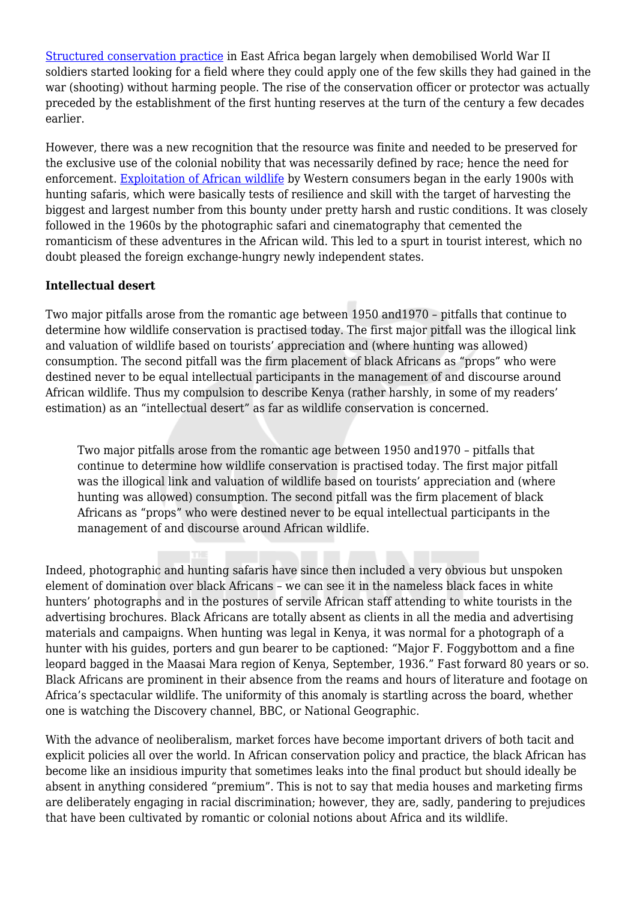[Structured conservation practice](https://www.amazon.com/Big-Conservation-Lie-John-Mbaria/dp/0692787216) in East Africa began largely when demobilised World War II soldiers started looking for a field where they could apply one of the few skills they had gained in the war (shooting) without harming people. The rise of the conservation officer or protector was actually preceded by the establishment of the first hunting reserves at the turn of the century a few decades earlier.

However, there was a new recognition that the resource was finite and needed to be preserved for the exclusive use of the colonial nobility that was necessarily defined by race; hence the need for enforcement. [Exploitation of African wildlife](https://www.amazon.com/Big-Conservation-Lie-John-Mbaria/dp/0692787216) by Western consumers began in the early 1900s with hunting safaris, which were basically tests of resilience and skill with the target of harvesting the biggest and largest number from this bounty under pretty harsh and rustic conditions. It was closely followed in the 1960s by the photographic safari and cinematography that cemented the romanticism of these adventures in the African wild. This led to a spurt in tourist interest, which no doubt pleased the foreign exchange-hungry newly independent states.

## **Intellectual desert**

Two major pitfalls arose from the romantic age between 1950 and1970 – pitfalls that continue to determine how wildlife conservation is practised today. The first major pitfall was the illogical link and valuation of wildlife based on tourists' appreciation and (where hunting was allowed) consumption. The second pitfall was the firm placement of black Africans as "props" who were destined never to be equal intellectual participants in the management of and discourse around African wildlife. Thus my compulsion to describe Kenya (rather harshly, in some of my readers' estimation) as an "intellectual desert" as far as wildlife conservation is concerned.

Two major pitfalls arose from the romantic age between 1950 and1970 – pitfalls that continue to determine how wildlife conservation is practised today. The first major pitfall was the illogical link and valuation of wildlife based on tourists' appreciation and (where hunting was allowed) consumption. The second pitfall was the firm placement of black Africans as "props" who were destined never to be equal intellectual participants in the management of and discourse around African wildlife.

Indeed, photographic and hunting safaris have since then included a very obvious but unspoken element of domination over black Africans – we can see it in the nameless black faces in white hunters' photographs and in the postures of servile African staff attending to white tourists in the advertising brochures. Black Africans are totally absent as clients in all the media and advertising materials and campaigns. When hunting was legal in Kenya, it was normal for a photograph of a hunter with his guides, porters and gun bearer to be captioned: "Major F. Foggybottom and a fine leopard bagged in the Maasai Mara region of Kenya, September, 1936." Fast forward 80 years or so. Black Africans are prominent in their absence from the reams and hours of literature and footage on Africa's spectacular wildlife. The uniformity of this anomaly is startling across the board, whether one is watching the Discovery channel, BBC, or National Geographic.

With the advance of neoliberalism, market forces have become important drivers of both tacit and explicit policies all over the world. In African conservation policy and practice, the black African has become like an insidious impurity that sometimes leaks into the final product but should ideally be absent in anything considered "premium". This is not to say that media houses and marketing firms are deliberately engaging in racial discrimination; however, they are, sadly, pandering to prejudices that have been cultivated by romantic or colonial notions about Africa and its wildlife.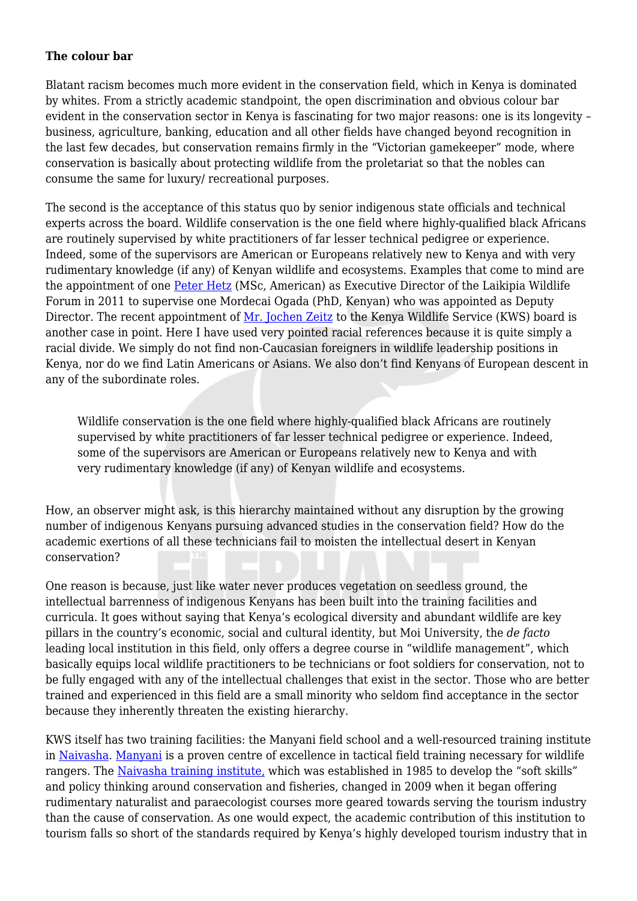## **The colour bar**

Blatant racism becomes much more evident in the conservation field, which in Kenya is dominated by whites. From a strictly academic standpoint, the open discrimination and obvious colour bar evident in the conservation sector in Kenya is fascinating for two major reasons: one is its longevity – business, agriculture, banking, education and all other fields have changed beyond recognition in the last few decades, but conservation remains firmly in the "Victorian gamekeeper" mode, where conservation is basically about protecting wildlife from the proletariat so that the nobles can consume the same for luxury/ recreational purposes.

The second is the acceptance of this status quo by senior indigenous state officials and technical experts across the board. Wildlife conservation is the one field where highly-qualified black Africans are routinely supervised by white practitioners of far lesser technical pedigree or experience. Indeed, some of the supervisors are American or Europeans relatively new to Kenya and with very rudimentary knowledge (if any) of Kenyan wildlife and ecosystems. Examples that come to mind are the appointment of one [Peter Hetz](http://laikipia.org/Thematic_areas/peter-hetz-executive-director/) (MSc, American) as Executive Director of the Laikipia Wildlife Forum in 2011 to supervise one Mordecai Ogada (PhD, Kenyan) who was appointed as Deputy Director. The recent appointment of [Mr. Jochen Zeitz](https://www.kenyandigest.com/ex-puma-boss-appointed-to-kenya-wildlife-service-board-kenya/) to the Kenya Wildlife Service (KWS) board is another case in point. Here I have used very pointed racial references because it is quite simply a racial divide. We simply do not find non-Caucasian foreigners in wildlife leadership positions in Kenya, nor do we find Latin Americans or Asians. We also don't find Kenyans of European descent in any of the subordinate roles.

Wildlife conservation is the one field where highly-qualified black Africans are routinely supervised by white practitioners of far lesser technical pedigree or experience. Indeed, some of the supervisors are American or Europeans relatively new to Kenya and with very rudimentary knowledge (if any) of Kenyan wildlife and ecosystems.

How, an observer might ask, is this hierarchy maintained without any disruption by the growing number of indigenous Kenyans pursuing advanced studies in the conservation field? How do the academic exertions of all these technicians fail to moisten the intellectual desert in Kenyan conservation?

One reason is because, just like water never produces vegetation on seedless ground, the intellectual barrenness of indigenous Kenyans has been built into the training facilities and curricula. It goes without saying that Kenya's ecological diversity and abundant wildlife are key pillars in the country's economic, social and cultural identity, but Moi University, the *de facto* leading local institution in this field, only offers a degree course in "wildlife management", which basically equips local wildlife practitioners to be technicians or foot soldiers for conservation, not to be fully engaged with any of the intellectual challenges that exist in the sector. Those who are better trained and experienced in this field are a small minority who seldom find acceptance in the sector because they inherently threaten the existing hierarchy.

KWS itself has two training facilities: the Manyani field school and a well-resourced training institute in [Naivasha.](https://kenyanlife.com/kwsti-kenya-wildlife-service-training-institute-naivasha/) [Manyani](http://www.kws.go.ke/kws-training/kws-law-enforcement-academy) is a proven centre of excellence in tactical field training necessary for wildlife rangers. The [Naivasha training institute,](http://www.kws.go.ke/content/kenya-wildlife-service-training-institute) which was established in 1985 to develop the "soft skills" and policy thinking around conservation and fisheries, changed in 2009 when it began offering rudimentary naturalist and paraecologist courses more geared towards serving the tourism industry than the cause of conservation. As one would expect, the academic contribution of this institution to tourism falls so short of the standards required by Kenya's highly developed tourism industry that in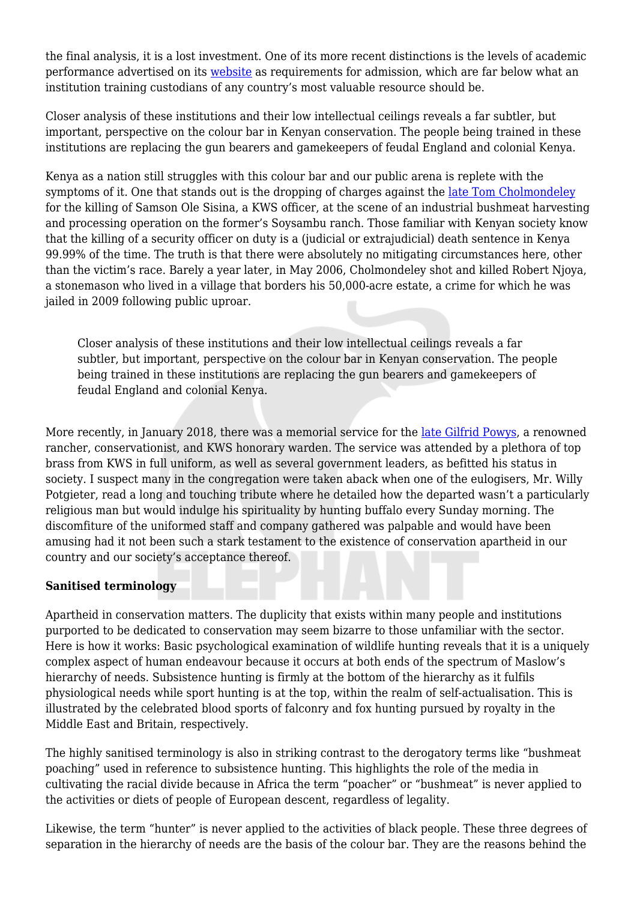the final analysis, it is a lost investment. One of its more recent distinctions is the levels of academic performance advertised on its [website](http://www.kws.go.ke/content/kenya-wildlife-service-training-institute) as requirements for admission, which are far below what an institution training custodians of any country's most valuable resource should be.

Closer analysis of these institutions and their low intellectual ceilings reveals a far subtler, but important, perspective on the colour bar in Kenyan conservation. The people being trained in these institutions are replacing the gun bearers and gamekeepers of feudal England and colonial Kenya.

Kenya as a nation still struggles with this colour bar and our public arena is replete with the symptoms of it. One that stands out is the dropping of charges against the [late Tom Cholmondeley](https://www.standardmedia.co.ke/article/2000213382/delameres-to-pay-family-of-man-shot-dead-by-tom-cholmondeley) for the killing of Samson Ole Sisina, a KWS officer, at the scene of an industrial bushmeat harvesting and processing operation on the former's Soysambu ranch. Those familiar with Kenyan society know that the killing of a security officer on duty is a (judicial or extrajudicial) death sentence in Kenya 99.99% of the time. The truth is that there were absolutely no mitigating circumstances here, other than the victim's race. Barely a year later, in May 2006, Cholmondeley shot and killed Robert Njoya, a stonemason who lived in a village that borders his 50,000-acre estate, a crime for which he was jailed in 2009 following public uproar.

Closer analysis of these institutions and their low intellectual ceilings reveals a far subtler, but important, perspective on the colour bar in Kenyan conservation. The people being trained in these institutions are replacing the gun bearers and gamekeepers of feudal England and colonial Kenya.

More recently, in January 2018, there was a memorial service for the [late Gilfrid Powys,](https://www.telegraph.co.uk/obituaries/2018/01/15/gilfrid-powys-rancher-conservationist-obituary/) a renowned rancher, conservationist, and KWS honorary warden. The service was attended by a plethora of top brass from KWS in full uniform, as well as several government leaders, as befitted his status in society. I suspect many in the congregation were taken aback when one of the eulogisers, Mr. Willy Potgieter, read a long and touching tribute where he detailed how the departed wasn't a particularly religious man but would indulge his spirituality by hunting buffalo every Sunday morning. The discomfiture of the uniformed staff and company gathered was palpable and would have been amusing had it not been such a stark testament to the existence of conservation apartheid in our country and our society's acceptance thereof.

## **Sanitised terminology**

Apartheid in conservation matters. The duplicity that exists within many people and institutions purported to be dedicated to conservation may seem bizarre to those unfamiliar with the sector. Here is how it works: Basic psychological examination of wildlife hunting reveals that it is a uniquely complex aspect of human endeavour because it occurs at both ends of the spectrum of Maslow's hierarchy of needs. Subsistence hunting is firmly at the bottom of the hierarchy as it fulfils physiological needs while sport hunting is at the top, within the realm of self-actualisation. This is illustrated by the celebrated blood sports of falconry and fox hunting pursued by royalty in the Middle East and Britain, respectively.

The highly sanitised terminology is also in striking contrast to the derogatory terms like "bushmeat poaching" used in reference to subsistence hunting. This highlights the role of the media in cultivating the racial divide because in Africa the term "poacher" or "bushmeat" is never applied to the activities or diets of people of European descent, regardless of legality.

Likewise, the term "hunter" is never applied to the activities of black people. These three degrees of separation in the hierarchy of needs are the basis of the colour bar. They are the reasons behind the